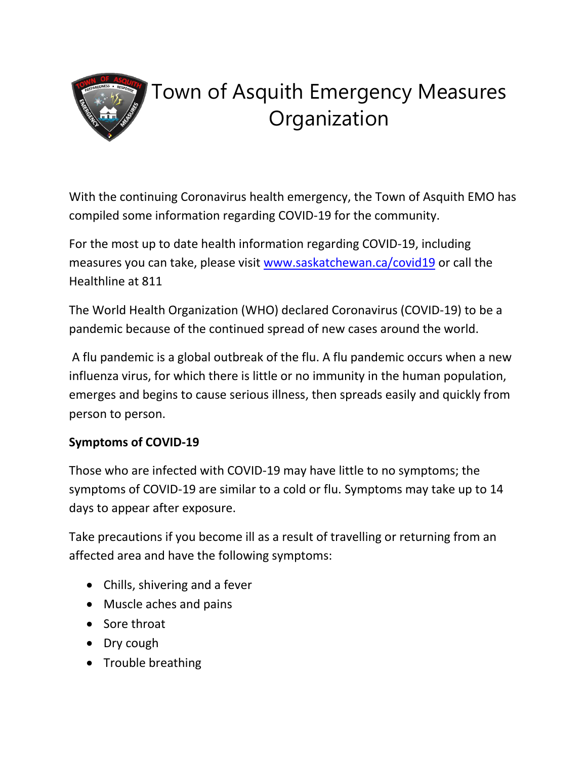

# Town of Asquith Emergency Measures **Organization**

With the continuing Coronavirus health emergency, the Town of Asquith EMO has compiled some information regarding COVID-19 for the community.

For the most up to date health information regarding COVID-19, including measures you can take, please visit [www.saskatchewan.ca/covid19](http://www.saskatchewan.ca/covid19) or call the Healthline at 811

The World Health Organization (WHO) declared Coronavirus (COVID-19) to be a pandemic because of the continued spread of new cases around the world.

A flu pandemic is a global outbreak of the flu. A flu pandemic occurs when a new influenza virus, for which there is little or no immunity in the human population, emerges and begins to cause serious illness, then spreads easily and quickly from person to person.

## **Symptoms of COVID-19**

Those who are infected with COVID-19 may have little to no symptoms; the symptoms of COVID-19 are similar to a cold or flu. Symptoms may take up to 14 days to appear after exposure.

Take precautions if you become ill as a result of travelling or returning from an affected area and have the following symptoms:

- Chills, shivering and a fever
- Muscle aches and pains
- Sore throat
- Dry cough
- Trouble breathing